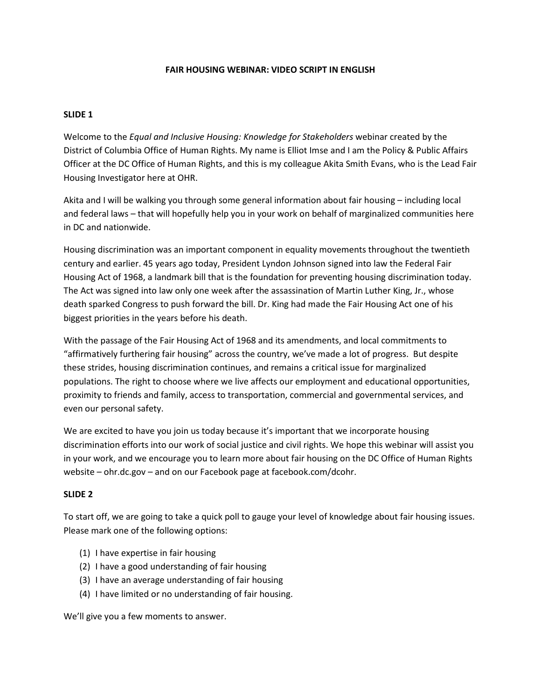### **FAIR HOUSING WEBINAR: VIDEO SCRIPT IN ENGLISH**

### **SLIDE 1**

Welcome to the *Equal and Inclusive Housing: Knowledge for Stakeholders* webinar created by the District of Columbia Office of Human Rights. My name is Elliot Imse and I am the Policy & Public Affairs Officer at the DC Office of Human Rights, and this is my colleague Akita Smith Evans, who is the Lead Fair Housing Investigator here at OHR.

Akita and I will be walking you through some general information about fair housing – including local and federal laws – that will hopefully help you in your work on behalf of marginalized communities here in DC and nationwide.

Housing discrimination was an important component in equality movements throughout the twentieth century and earlier. 45 years ago today, President Lyndon Johnson signed into law the Federal Fair Housing Act of 1968, a landmark bill that is the foundation for preventing housing discrimination today. The Act was signed into law only one week after the assassination of Martin Luther King, Jr., whose death sparked Congress to push forward the bill. Dr. King had made the Fair Housing Act one of his biggest priorities in the years before his death.

With the passage of the Fair Housing Act of 1968 and its amendments, and local commitments to "affirmatively furthering fair housing" across the country, we've made a lot of progress. But despite these strides, housing discrimination continues, and remains a critical issue for marginalized populations. The right to choose where we live affects our employment and educational opportunities, proximity to friends and family, access to transportation, commercial and governmental services, and even our personal safety.

We are excited to have you join us today because it's important that we incorporate housing discrimination efforts into our work of social justice and civil rights. We hope this webinar will assist you in your work, and we encourage you to learn more about fair housing on the DC Office of Human Rights website – ohr.dc.gov – and on our Facebook page at facebook.com/dcohr.

### **SLIDE 2**

To start off, we are going to take a quick poll to gauge your level of knowledge about fair housing issues. Please mark one of the following options:

- (1) I have expertise in fair housing
- (2) I have a good understanding of fair housing
- (3) I have an average understanding of fair housing
- (4) I have limited or no understanding of fair housing.

We'll give you a few moments to answer.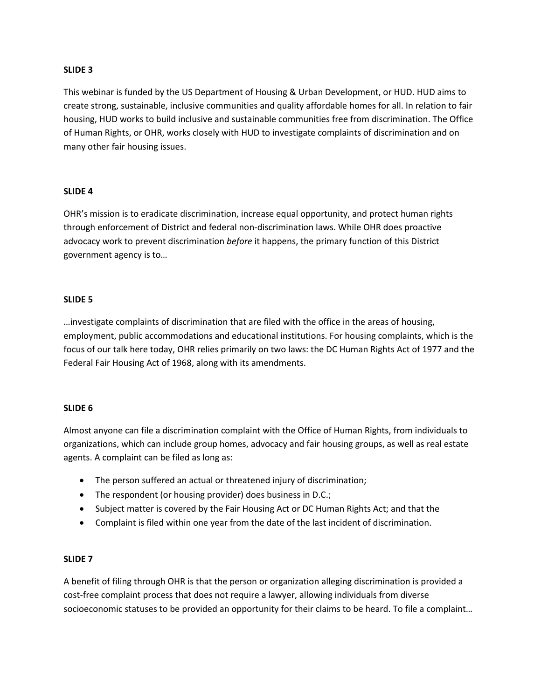### **SLIDE 3**

This webinar is funded by the US Department of Housing & Urban Development, or HUD. HUD aims to create strong, sustainable, inclusive communities and quality affordable homes for all. In relation to fair housing, HUD works to build inclusive and sustainable communities free from discrimination. The Office of Human Rights, or OHR, works closely with HUD to investigate complaints of discrimination and on many other fair housing issues.

### **SLIDE 4**

OHR's mission is to eradicate discrimination, increase equal opportunity, and protect human rights through enforcement of District and federal non-discrimination laws. While OHR does proactive advocacy work to prevent discrimination *before* it happens, the primary function of this District government agency is to…

### **SLIDE 5**

…investigate complaints of discrimination that are filed with the office in the areas of housing, employment, public accommodations and educational institutions. For housing complaints, which is the focus of our talk here today, OHR relies primarily on two laws: the DC Human Rights Act of 1977 and the Federal Fair Housing Act of 1968, along with its amendments.

### **SLIDE 6**

Almost anyone can file a discrimination complaint with the Office of Human Rights, from individuals to organizations, which can include group homes, advocacy and fair housing groups, as well as real estate agents. A complaint can be filed as long as:

- The person suffered an actual or threatened injury of discrimination;
- The respondent (or housing provider) does business in D.C.;
- Subject matter is covered by the Fair Housing Act or DC Human Rights Act; and that the
- Complaint is filed within one year from the date of the last incident of discrimination.

### **SLIDE 7**

A benefit of filing through OHR is that the person or organization alleging discrimination is provided a cost-free complaint process that does not require a lawyer, allowing individuals from diverse socioeconomic statuses to be provided an opportunity for their claims to be heard. To file a complaint…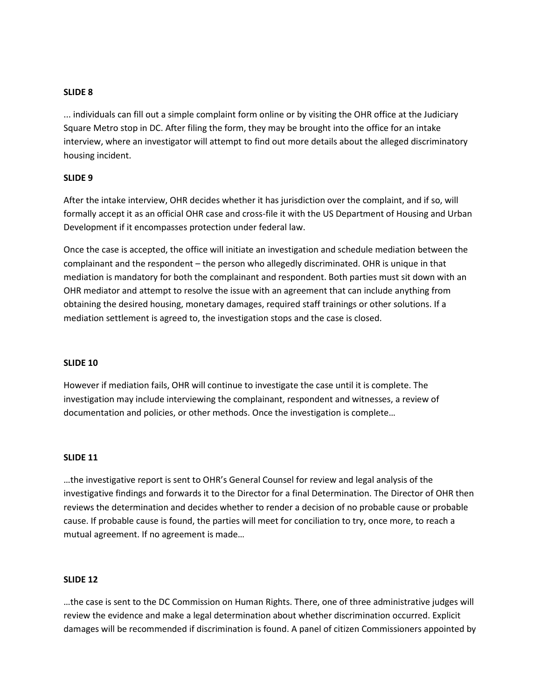## **SLIDE 8**

... individuals can fill out a simple complaint form online or by visiting the OHR office at the Judiciary Square Metro stop in DC. After filing the form, they may be brought into the office for an intake interview, where an investigator will attempt to find out more details about the alleged discriminatory housing incident.

### **SLIDE 9**

After the intake interview, OHR decides whether it has jurisdiction over the complaint, and if so, will formally accept it as an official OHR case and cross-file it with the US Department of Housing and Urban Development if it encompasses protection under federal law.

Once the case is accepted, the office will initiate an investigation and schedule mediation between the complainant and the respondent – the person who allegedly discriminated. OHR is unique in that mediation is mandatory for both the complainant and respondent. Both parties must sit down with an OHR mediator and attempt to resolve the issue with an agreement that can include anything from obtaining the desired housing, monetary damages, required staff trainings or other solutions. If a mediation settlement is agreed to, the investigation stops and the case is closed.

### **SLIDE 10**

However if mediation fails, OHR will continue to investigate the case until it is complete. The investigation may include interviewing the complainant, respondent and witnesses, a review of documentation and policies, or other methods. Once the investigation is complete…

### **SLIDE 11**

…the investigative report is sent to OHR's General Counsel for review and legal analysis of the investigative findings and forwards it to the Director for a final Determination. The Director of OHR then reviews the determination and decides whether to render a decision of no probable cause or probable cause. If probable cause is found, the parties will meet for conciliation to try, once more, to reach a mutual agreement. If no agreement is made…

#### **SLIDE 12**

…the case is sent to the DC Commission on Human Rights. There, one of three administrative judges will review the evidence and make a legal determination about whether discrimination occurred. Explicit damages will be recommended if discrimination is found. A panel of citizen Commissioners appointed by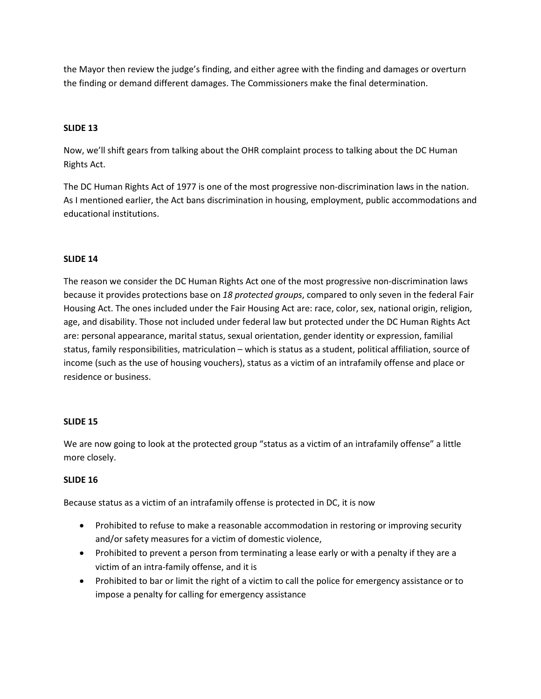the Mayor then review the judge's finding, and either agree with the finding and damages or overturn the finding or demand different damages. The Commissioners make the final determination.

## **SLIDE 13**

Now, we'll shift gears from talking about the OHR complaint process to talking about the DC Human Rights Act.

The DC Human Rights Act of 1977 is one of the most progressive non-discrimination laws in the nation. As I mentioned earlier, the Act bans discrimination in housing, employment, public accommodations and educational institutions.

## **SLIDE 14**

The reason we consider the DC Human Rights Act one of the most progressive non-discrimination laws because it provides protections base on *18 protected groups*, compared to only seven in the federal Fair Housing Act. The ones included under the Fair Housing Act are: race, color, sex, national origin, religion, age, and disability. Those not included under federal law but protected under the DC Human Rights Act are: personal appearance, marital status, sexual orientation, gender identity or expression, familial status, family responsibilities, matriculation – which is status as a student, political affiliation, source of income (such as the use of housing vouchers), status as a victim of an intrafamily offense and place or residence or business.

## **SLIDE 15**

We are now going to look at the protected group "status as a victim of an intrafamily offense" a little more closely.

## **SLIDE 16**

Because status as a victim of an intrafamily offense is protected in DC, it is now

- Prohibited to refuse to make a reasonable accommodation in restoring or improving security and/or safety measures for a victim of domestic violence,
- Prohibited to prevent a person from terminating a lease early or with a penalty if they are a victim of an intra-family offense, and it is
- Prohibited to bar or limit the right of a victim to call the police for emergency assistance or to impose a penalty for calling for emergency assistance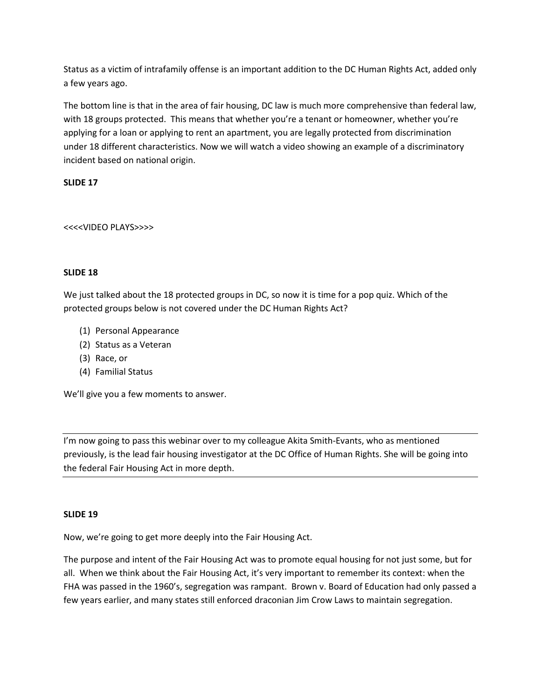Status as a victim of intrafamily offense is an important addition to the DC Human Rights Act, added only a few years ago.

The bottom line is that in the area of fair housing, DC law is much more comprehensive than federal law, with 18 groups protected. This means that whether you're a tenant or homeowner, whether you're applying for a loan or applying to rent an apartment, you are legally protected from discrimination under 18 different characteristics. Now we will watch a video showing an example of a discriminatory incident based on national origin.

# **SLIDE 17**

# <<<<VIDEO PLAYS>>>>

# **SLIDE 18**

We just talked about the 18 protected groups in DC, so now it is time for a pop quiz. Which of the protected groups below is not covered under the DC Human Rights Act?

- (1) Personal Appearance
- (2) Status as a Veteran
- (3) Race, or
- (4) Familial Status

We'll give you a few moments to answer.

I'm now going to pass this webinar over to my colleague Akita Smith-Evants, who as mentioned previously, is the lead fair housing investigator at the DC Office of Human Rights. She will be going into the federal Fair Housing Act in more depth.

## **SLIDE 19**

Now, we're going to get more deeply into the Fair Housing Act.

The purpose and intent of the Fair Housing Act was to promote equal housing for not just some, but for all. When we think about the Fair Housing Act, it's very important to remember its context: when the FHA was passed in the 1960's, segregation was rampant. Brown v. Board of Education had only passed a few years earlier, and many states still enforced draconian Jim Crow Laws to maintain segregation.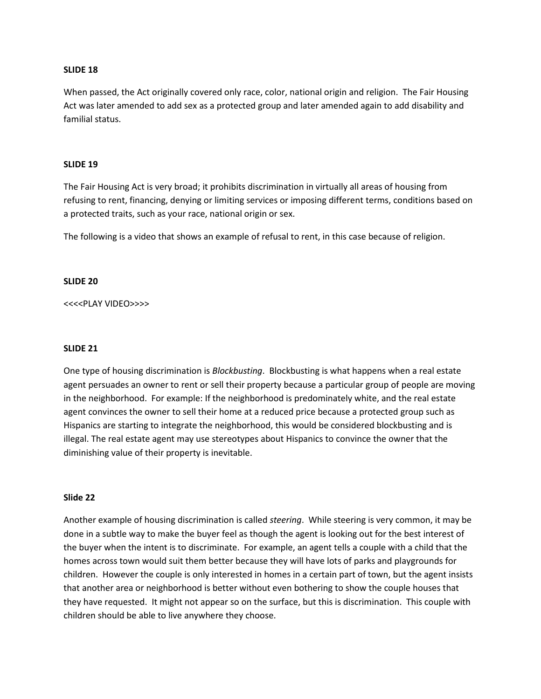#### **SLIDE 18**

When passed, the Act originally covered only race, color, national origin and religion. The Fair Housing Act was later amended to add sex as a protected group and later amended again to add disability and familial status.

#### **SLIDE 19**

The Fair Housing Act is very broad; it prohibits discrimination in virtually all areas of housing from refusing to rent, financing, denying or limiting services or imposing different terms, conditions based on a protected traits, such as your race, national origin or sex.

The following is a video that shows an example of refusal to rent, in this case because of religion.

#### **SLIDE 20**

<<<<PLAY VIDEO>>>>

#### **SLIDE 21**

One type of housing discrimination is *Blockbusting*. Blockbusting is what happens when a real estate agent persuades an owner to rent or sell their property because a particular group of people are moving in the neighborhood. For example: If the neighborhood is predominately white, and the real estate agent convinces the owner to sell their home at a reduced price because a protected group such as Hispanics are starting to integrate the neighborhood, this would be considered blockbusting and is illegal. The real estate agent may use stereotypes about Hispanics to convince the owner that the diminishing value of their property is inevitable.

### **Slide 22**

Another example of housing discrimination is called *steering*. While steering is very common, it may be done in a subtle way to make the buyer feel as though the agent is looking out for the best interest of the buyer when the intent is to discriminate. For example, an agent tells a couple with a child that the homes across town would suit them better because they will have lots of parks and playgrounds for children. However the couple is only interested in homes in a certain part of town, but the agent insists that another area or neighborhood is better without even bothering to show the couple houses that they have requested. It might not appear so on the surface, but this is discrimination. This couple with children should be able to live anywhere they choose.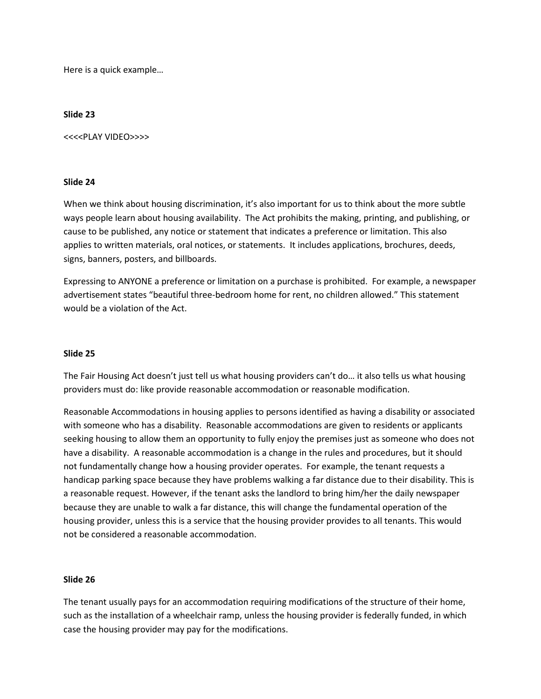Here is a quick example…

#### **Slide 23**

<<<<PLAY VIDEO>>>>

### **Slide 24**

When we think about housing discrimination, it's also important for us to think about the more subtle ways people learn about housing availability. The Act prohibits the making, printing, and publishing, or cause to be published, any notice or statement that indicates a preference or limitation. This also applies to written materials, oral notices, or statements. It includes applications, brochures, deeds, signs, banners, posters, and billboards.

Expressing to ANYONE a preference or limitation on a purchase is prohibited. For example, a newspaper advertisement states "beautiful three-bedroom home for rent, no children allowed." This statement would be a violation of the Act.

### **Slide 25**

The Fair Housing Act doesn't just tell us what housing providers can't do… it also tells us what housing providers must do: like provide reasonable accommodation or reasonable modification.

Reasonable Accommodations in housing applies to persons identified as having a disability or associated with someone who has a disability. Reasonable accommodations are given to residents or applicants seeking housing to allow them an opportunity to fully enjoy the premises just as someone who does not have a disability. A reasonable accommodation is a change in the rules and procedures, but it should not fundamentally change how a housing provider operates. For example, the tenant requests a handicap parking space because they have problems walking a far distance due to their disability. This is a reasonable request. However, if the tenant asks the landlord to bring him/her the daily newspaper because they are unable to walk a far distance, this will change the fundamental operation of the housing provider, unless this is a service that the housing provider provides to all tenants. This would not be considered a reasonable accommodation.

### **Slide 26**

The tenant usually pays for an accommodation requiring modifications of the structure of their home, such as the installation of a wheelchair ramp, unless the housing provider is federally funded, in which case the housing provider may pay for the modifications.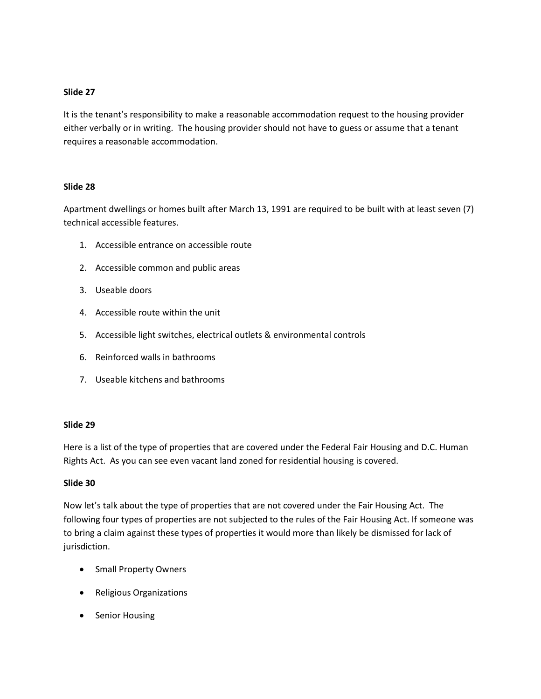## **Slide 27**

It is the tenant's responsibility to make a reasonable accommodation request to the housing provider either verbally or in writing. The housing provider should not have to guess or assume that a tenant requires a reasonable accommodation.

## **Slide 28**

Apartment dwellings or homes built after March 13, 1991 are required to be built with at least seven (7) technical accessible features.

- 1. Accessible entrance on accessible route
- 2. Accessible common and public areas
- 3. Useable doors
- 4. Accessible route within the unit
- 5. Accessible light switches, electrical outlets & environmental controls
- 6. Reinforced walls in bathrooms
- 7. Useable kitchens and bathrooms

## **Slide 29**

Here is a list of the type of properties that are covered under the Federal Fair Housing and D.C. Human Rights Act. As you can see even vacant land zoned for residential housing is covered.

## **Slide 30**

Now let's talk about the type of properties that are not covered under the Fair Housing Act. The following four types of properties are not subjected to the rules of the Fair Housing Act. If someone was to bring a claim against these types of properties it would more than likely be dismissed for lack of jurisdiction.

- Small Property Owners
- Religious Organizations
- Senior Housing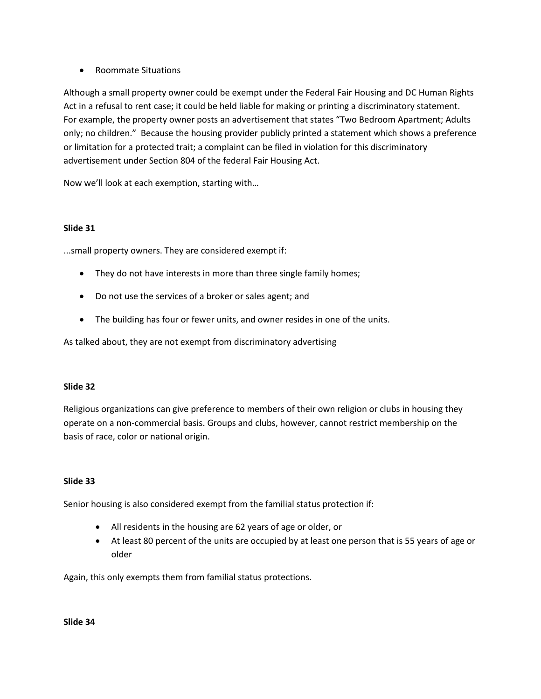• Roommate Situations

Although a small property owner could be exempt under the Federal Fair Housing and DC Human Rights Act in a refusal to rent case; it could be held liable for making or printing a discriminatory statement. For example, the property owner posts an advertisement that states "Two Bedroom Apartment; Adults only; no children." Because the housing provider publicly printed a statement which shows a preference or limitation for a protected trait; a complaint can be filed in violation for this discriminatory advertisement under Section 804 of the federal Fair Housing Act.

Now we'll look at each exemption, starting with…

## **Slide 31**

...small property owners. They are considered exempt if:

- They do not have interests in more than three single family homes;
- Do not use the services of a broker or sales agent; and
- The building has four or fewer units, and owner resides in one of the units.

As talked about, they are not exempt from discriminatory advertising

## **Slide 32**

Religious organizations can give preference to members of their own religion or clubs in housing they operate on a non-commercial basis. Groups and clubs, however, cannot restrict membership on the basis of race, color or national origin.

## **Slide 33**

Senior housing is also considered exempt from the familial status protection if:

- All residents in the housing are 62 years of age or older, or
- At least 80 percent of the units are occupied by at least one person that is 55 years of age or older

Again, this only exempts them from familial status protections.

**Slide 34**